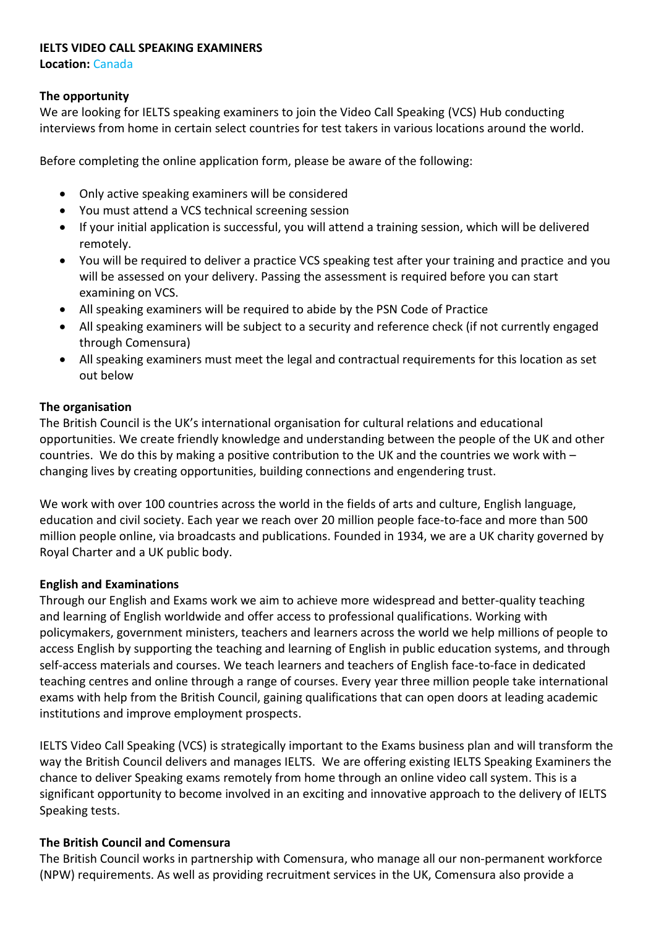#### **IELTS VIDEO CALL SPEAKING EXAMINERS**

**Location:** Canada

#### **The opportunity**

We are looking for IELTS speaking examiners to join the Video Call Speaking (VCS) Hub conducting interviews from home in certain select countries for test takers in various locations around the world.

Before completing the online application form, please be aware of the following:

- Only active speaking examiners will be considered
- You must attend a VCS technical screening session
- If your initial application is successful, you will attend a training session, which will be delivered remotely.
- You will be required to deliver a practice VCS speaking test after your training and practice and you will be assessed on your delivery. Passing the assessment is required before you can start examining on VCS.
- All speaking examiners will be required to abide by the PSN Code of Practice
- All speaking examiners will be subject to a security and reference check (if not currently engaged through Comensura)
- All speaking examiners must meet the legal and contractual requirements for this location as set out below

#### **The organisation**

The British Council is the UK's international organisation for cultural relations and educational opportunities. We create friendly knowledge and understanding between the people of the UK and other countries. We do this by making a positive contribution to the UK and the countries we work with  $$ changing lives by creating opportunities, building connections and engendering trust.

We work with over 100 countries across the world in the fields of arts and culture, English language, education and civil society. Each year we reach over 20 million people face-to-face and more than 500 million people online, via broadcasts and publications. Founded in 1934, we are a UK charity governed by Royal Charter and a UK public body.

## **English and Examinations**

Through our English and Exams work we aim to achieve more widespread and better-quality teaching and learning of English worldwide and offer access to professional qualifications. Working with policymakers, government ministers, teachers and learners across the world we help millions of people to access English by supporting the teaching and learning of English in public education systems, and through self-access materials and courses. We teach learners and teachers of English face-to-face in dedicated teaching centres and online through a range of courses. Every year three million people take international exams with help from the British Council, gaining qualifications that can open doors at leading academic institutions and improve employment prospects.

IELTS Video Call Speaking (VCS) is strategically important to the Exams business plan and will transform the way the British Council delivers and manages IELTS. We are offering existing IELTS Speaking Examiners the chance to deliver Speaking exams remotely from home through an online video call system. This is a significant opportunity to become involved in an exciting and innovative approach to the delivery of IELTS Speaking tests.

## **The British Council and Comensura**

The British Council works in partnership with Comensura, who manage all our non-permanent workforce (NPW) requirements. As well as providing recruitment services in the UK, Comensura also provide a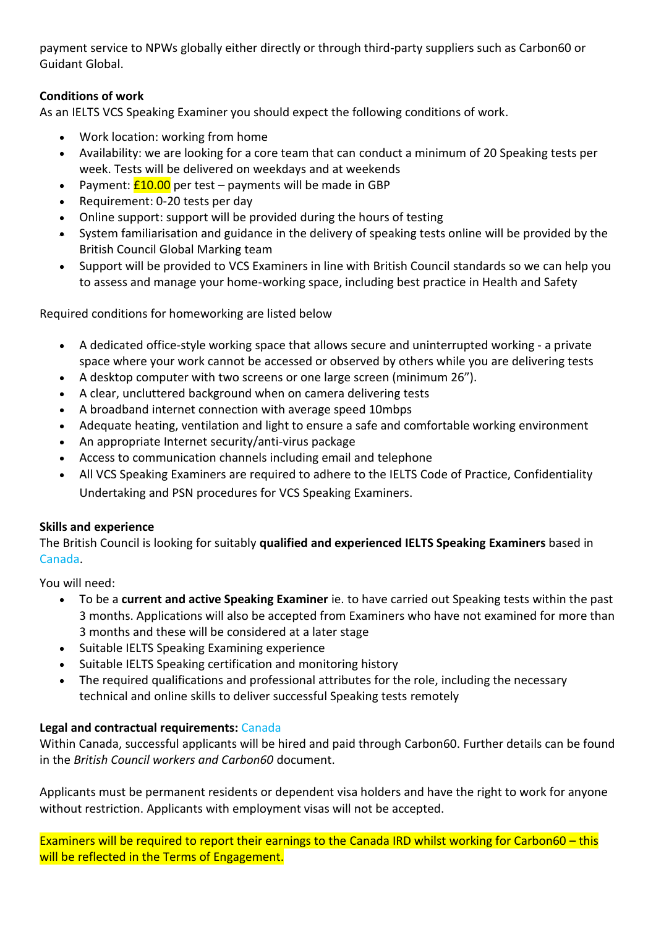payment service to NPWs globally either directly or through third-party suppliers such as Carbon60 or Guidant Global.

# **Conditions of work**

As an IELTS VCS Speaking Examiner you should expect the following conditions of work.

- Work location: working from home
- Availability: we are looking for a core team that can conduct a minimum of 20 Speaking tests per week. Tests will be delivered on weekdays and at weekends
- Payment: **£10.00** per test payments will be made in GBP
- Requirement: 0-20 tests per day
- Online support: support will be provided during the hours of testing
- System familiarisation and guidance in the delivery of speaking tests online will be provided by the British Council Global Marking team
- Support will be provided to VCS Examiners in line with British Council standards so we can help you to assess and manage your home-working space, including best practice in Health and Safety

Required conditions for homeworking are listed below

- A dedicated office-style working space that allows secure and uninterrupted working a private space where your work cannot be accessed or observed by others while you are delivering tests
- A desktop computer with two screens or one large screen (minimum 26").
- A clear, uncluttered background when on camera delivering tests
- A broadband internet connection with average speed 10mbps
- Adequate heating, ventilation and light to ensure a safe and comfortable working environment
- An appropriate Internet security/anti-virus package
- Access to communication channels including email and telephone
- All VCS Speaking Examiners are required to adhere to the IELTS Code of Practice, Confidentiality Undertaking and PSN procedures for VCS Speaking Examiners.

## **Skills and experience**

The British Council is looking for suitably **qualified and experienced IELTS Speaking Examiners** based in Canada.

You will need:

- To be a **current and active Speaking Examiner** ie. to have carried out Speaking tests within the past 3 months. Applications will also be accepted from Examiners who have not examined for more than 3 months and these will be considered at a later stage
- Suitable IELTS Speaking Examining experience
- Suitable IELTS Speaking certification and monitoring history
- The required qualifications and professional attributes for the role, including the necessary technical and online skills to deliver successful Speaking tests remotely

## **Legal and contractual requirements:** Canada

Within Canada, successful applicants will be hired and paid through Carbon60. Further details can be found in the *British Council workers and Carbon60* document.

Applicants must be permanent residents or dependent visa holders and have the right to work for anyone without restriction. Applicants with employment visas will not be accepted.

Examiners will be required to report their earnings to the Canada IRD whilst working for Carbon60 – this will be reflected in the Terms of Engagement.